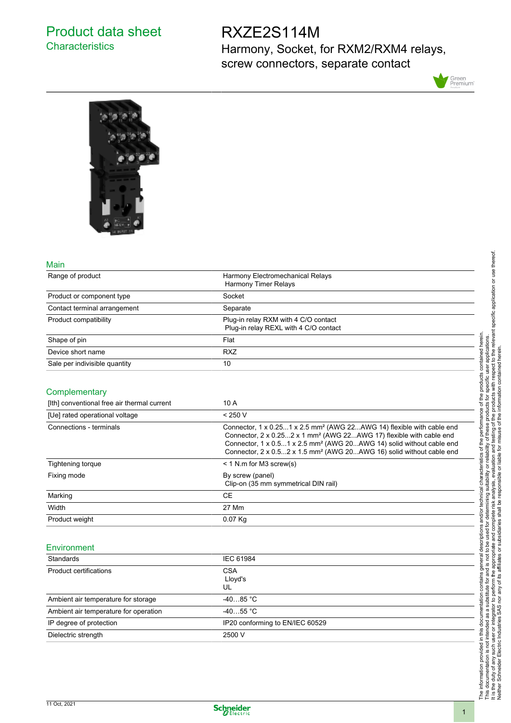# Product data sheet **Characteristics**

# RXZE2S114M

Harmony, Socket, for RXM2/RXM4 relays, screw connectors, separate contact





#### Main

| Range of product                            | Harmony Electromechanical Relays<br><b>Harmony Timer Relays</b>                                                                                                                                                                                                                                                                              |
|---------------------------------------------|----------------------------------------------------------------------------------------------------------------------------------------------------------------------------------------------------------------------------------------------------------------------------------------------------------------------------------------------|
| Product or component type                   | Socket                                                                                                                                                                                                                                                                                                                                       |
| Contact terminal arrangement                | Separate                                                                                                                                                                                                                                                                                                                                     |
| Product compatibility                       | Plug-in relay RXM with 4 C/O contact<br>Plug-in relay REXL with 4 C/O contact                                                                                                                                                                                                                                                                |
| Shape of pin                                | Flat                                                                                                                                                                                                                                                                                                                                         |
| Device short name                           | <b>RXZ</b>                                                                                                                                                                                                                                                                                                                                   |
| Sale per indivisible quantity               | 10                                                                                                                                                                                                                                                                                                                                           |
| Complementary                               |                                                                                                                                                                                                                                                                                                                                              |
| [Ith] conventional free air thermal current | 10 A                                                                                                                                                                                                                                                                                                                                         |
| [Ue] rated operational voltage              | < 250 V                                                                                                                                                                                                                                                                                                                                      |
| Connections - terminals                     | Connector, 1 x 0.251 x 2.5 mm <sup>2</sup> (AWG 22AWG 14) flexible with cable end<br>Connector, 2 x 0.252 x 1 mm <sup>2</sup> (AWG 22AWG 17) flexible with cable end<br>Connector, 1 x 0.51 x 2.5 mm <sup>2</sup> (AWG 20AWG 14) solid without cable end<br>Connector, 2 x 0.52 x 1.5 mm <sup>2</sup> (AWG 20AWG 16) solid without cable end |
| Tightening torque                           | $<$ 1 N.m for M3 screw(s)                                                                                                                                                                                                                                                                                                                    |
| Fixing mode                                 | By screw (panel)<br>Clip-on (35 mm symmetrical DIN rail)                                                                                                                                                                                                                                                                                     |
| Marking                                     | <b>CE</b>                                                                                                                                                                                                                                                                                                                                    |
| Width                                       | 27 Mm                                                                                                                                                                                                                                                                                                                                        |
| Product weight                              | 0.07 Kg                                                                                                                                                                                                                                                                                                                                      |
| Environment                                 |                                                                                                                                                                                                                                                                                                                                              |
| Standards                                   | IFC 61984                                                                                                                                                                                                                                                                                                                                    |

#### Standards **IEC 61984** Product certifications CSA Lloyd's UL Ambient air temperature for storage  $-40...85$  °C Ambient air temperature for operation -40...55 °C IP degree of protection IP20 conforming to EN/IEC 60529 Dielectric strength 2500 V